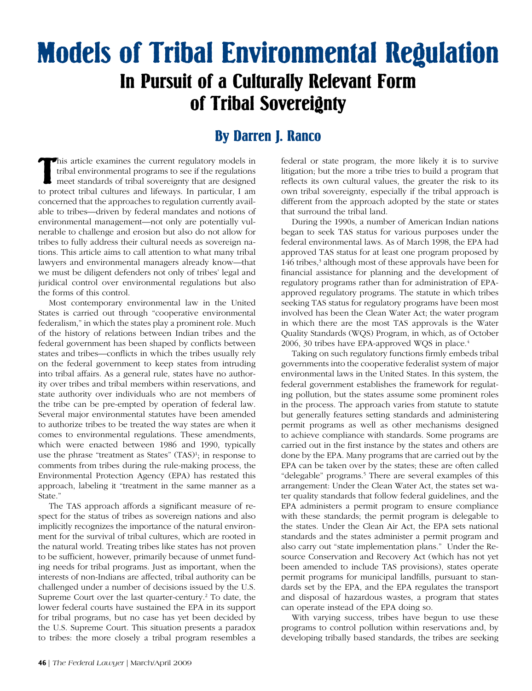## Models of Tribal Environmental Regulation In Pursuit of a Culturally Relevant Form of Tribal Sovereignty

## By Darren J. Ranco

This article examines the current regulatory models in tribal environmental programs to see if the regulations meet standards of tribal sovereignty that are designed to protect tribal cultures and lifeways. In particular, his article examines the current regulatory models in tribal environmental programs to see if the regulations meet standards of tribal sovereignty that are designed concerned that the approaches to regulation currently available to tribes—driven by federal mandates and notions of environmental management—not only are potentially vulnerable to challenge and erosion but also do not allow for tribes to fully address their cultural needs as sovereign nations. This article aims to call attention to what many tribal lawyers and environmental managers already know—that we must be diligent defenders not only of tribes' legal and juridical control over environmental regulations but also the forms of this control.

Most contemporary environmental law in the United States is carried out through "cooperative environmental federalism," in which the states play a prominent role. Much of the history of relations between Indian tribes and the federal government has been shaped by conflicts between states and tribes—conflicts in which the tribes usually rely on the federal government to keep states from intruding into tribal affairs. As a general rule, states have no authority over tribes and tribal members within reservations, and state authority over individuals who are not members of the tribe can be pre-empted by operation of federal law. Several major environmental statutes have been amended to authorize tribes to be treated the way states are when it comes to environmental regulations. These amendments, which were enacted between 1986 and 1990, typically use the phrase "treatment as States" (TAS)<sup>1</sup>; in response to comments from tribes during the rule-making process, the Environmental Protection Agency (EPA) has restated this approach, labeling it "treatment in the same manner as a State."

The TAS approach affords a significant measure of respect for the status of tribes as sovereign nations and also implicitly recognizes the importance of the natural environment for the survival of tribal cultures, which are rooted in the natural world. Treating tribes like states has not proven to be sufficient, however, primarily because of unmet funding needs for tribal programs. Just as important, when the interests of non-Indians are affected, tribal authority can be challenged under a number of decisions issued by the U.S. Supreme Court over the last quarter-century.<sup>2</sup> To date, the lower federal courts have sustained the EPA in its support for tribal programs, but no case has yet been decided by the U.S. Supreme Court. This situation presents a paradox to tribes: the more closely a tribal program resembles a

federal or state program, the more likely it is to survive litigation; but the more a tribe tries to build a program that reflects its own cultural values, the greater the risk to its own tribal sovereignty, especially if the tribal approach is different from the approach adopted by the state or states that surround the tribal land.

During the 1990s, a number of American Indian nations began to seek TAS status for various purposes under the federal environmental laws. As of March 1998, the EPA had approved TAS status for at least one program proposed by 146 tribes,<sup>3</sup> although most of these approvals have been for financial assistance for planning and the development of regulatory programs rather than for administration of EPAapproved regulatory programs. The statute in which tribes seeking TAS status for regulatory programs have been most involved has been the Clean Water Act; the water program in which there are the most TAS approvals is the Water Quality Standards (WQS) Program, in which, as of October 2006, 30 tribes have EPA-approved WQS in place.<sup>4</sup>

Taking on such regulatory functions firmly embeds tribal governments into the cooperative federalist system of major environmental laws in the United States. In this system, the federal government establishes the framework for regulating pollution, but the states assume some prominent roles in the process. The approach varies from statute to statute but generally features setting standards and administering permit programs as well as other mechanisms designed to achieve compliance with standards. Some programs are carried out in the first instance by the states and others are done by the EPA. Many programs that are carried out by the EPA can be taken over by the states; these are often called "delegable" programs.<sup>5</sup> There are several examples of this arrangement: Under the Clean Water Act, the states set water quality standards that follow federal guidelines, and the EPA administers a permit program to ensure compliance with these standards; the permit program is delegable to the states. Under the Clean Air Act, the EPA sets national standards and the states administer a permit program and also carry out "state implementation plans." Under the Resource Conservation and Recovery Act (which has not yet been amended to include TAS provisions), states operate permit programs for municipal landfills, pursuant to standards set by the EPA, and the EPA regulates the transport and disposal of hazardous wastes, a program that states can operate instead of the EPA doing so.

With varying success, tribes have begun to use these programs to control pollution within reservations and, by developing tribally based standards, the tribes are seeking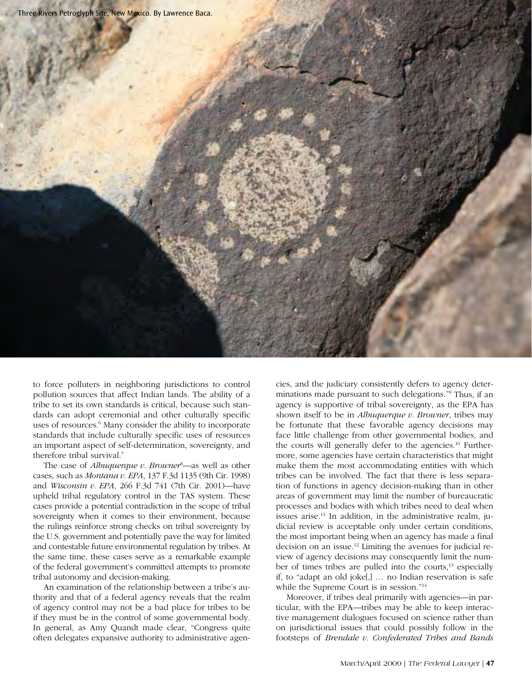

to force polluters in neighboring jurisdictions to control pollution sources that affect Indian lands. The ability of a tribe to set its own standards is critical, because such standards can adopt ceremonial and other culturally specific uses of resources.<sup>6</sup> Many consider the ability to incorporate standards that include culturally specific uses of resources an important aspect of self-determination, sovereignty, and therefore tribal survival.7

The case of *Albuquerque v. Browner<sup>8</sup>*—as well as other cases, such as *Montana v. EPA*, 137 F.3d 1135 (9th Cir. 1998) and *Wisconsin v. EPA*, 266 F.3d 741 (7th Cir. 2001)—have upheld tribal regulatory control in the TAS system. These cases provide a potential contradiction in the scope of tribal sovereignty when it comes to their environment, because the rulings reinforce strong checks on tribal sovereignty by the U.S. government and potentially pave the way for limited and contestable future environmental regulation by tribes. At the same time, these cases serve as a remarkable example of the federal government's committed attempts to promote tribal autonomy and decision-making.

An examination of the relationship between a tribe's authority and that of a federal agency reveals that the realm of agency control may not be a bad place for tribes to be if they must be in the control of some governmental body. In general, as Amy Quandt made clear, "Congress quite often delegates expansive authority to administrative agencies, and the judiciary consistently defers to agency determinations made pursuant to such delegations."9 Thus, if an agency is supportive of tribal sovereignty, as the EPA has shown itself to be in *Albuquerque v. Browner*, tribes may be fortunate that these favorable agency decisions may face little challenge from other governmental bodies, and the courts will generally defer to the agencies.<sup>10</sup> Furthermore, some agencies have certain characteristics that might make them the most accommodating entities with which tribes can be involved. The fact that there is less separation of functions in agency decision-making than in other areas of government may limit the number of bureaucratic processes and bodies with which tribes need to deal when issues arise. $11$  In addition, in the administrative realm, judicial review is acceptable only under certain conditions, the most important being when an agency has made a final decision on an issue.12 Limiting the avenues for judicial review of agency decisions may consequently limit the number of times tribes are pulled into the courts,<sup>13</sup> especially if, to "adapt an old joke[,] … no Indian reservation is safe while the Supreme Court is in session."<sup>14</sup>

Moreover, if tribes deal primarily with agencies—in particular, with the EPA—tribes may be able to keep interactive management dialogues focused on science rather than on jurisdictional issues that could possibly follow in the footsteps of *Brendale v. Confederated Tribes and Bands*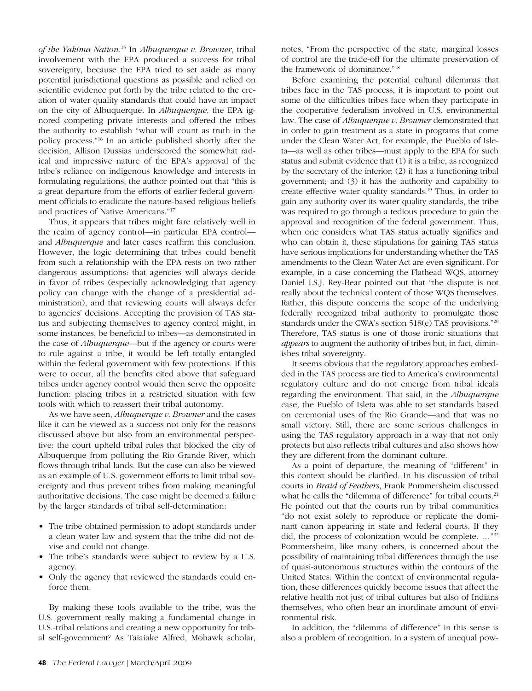*of the Yakima Nation*. 15 In *Albuquerque v. Browner*, tribal involvement with the EPA produced a success for tribal sovereignty, because the EPA tried to set aside as many potential jurisdictional questions as possible and relied on scientific evidence put forth by the tribe related to the creation of water quality standards that could have an impact on the city of Albuquerque. In *Albuquerque*, the EPA ignored competing private interests and offered the tribes the authority to establish "what will count as truth in the policy process."16 In an article published shortly after the decision, Allison Dussias underscored the somewhat radical and impressive nature of the EPA's approval of the tribe's reliance on indigenous knowledge and interests in formulating regulations; the author pointed out that "this is a great departure from the efforts of earlier federal government officials to eradicate the nature-based religious beliefs and practices of Native Americans."17

Thus, it appears that tribes might fare relatively well in the realm of agency control—in particular EPA control and *Albuquerque* and later cases reaffirm this conclusion. However, the logic determining that tribes could benefit from such a relationship with the EPA rests on two rather dangerous assumptions: that agencies will always decide in favor of tribes (especially acknowledging that agency policy can change with the change of a presidential administration), and that reviewing courts will always defer to agencies' decisions. Accepting the provision of TAS status and subjecting themselves to agency control might, in some instances, be beneficial to tribes—as demonstrated in the case of *Albuquerque*—but if the agency or courts were to rule against a tribe, it would be left totally entangled within the federal government with few protections. If this were to occur, all the benefits cited above that safeguard tribes under agency control would then serve the opposite function: placing tribes in a restricted situation with few tools with which to reassert their tribal autonomy.

As we have seen, *Albuquerque v. Browner* and the cases like it can be viewed as a success not only for the reasons discussed above but also from an environmental perspective: the court upheld tribal rules that blocked the city of Albuquerque from polluting the Rio Grande River, which flows through tribal lands. But the case can also be viewed as an example of U.S. government efforts to limit tribal sovereignty and thus prevent tribes from making meaningful authoritative decisions. The case might be deemed a failure by the larger standards of tribal self-determination:

- The tribe obtained permission to adopt standards under a clean water law and system that the tribe did not devise and could not change.
- The tribe's standards were subject to review by a U.S. agency.
- Only the agency that reviewed the standards could enforce them.

By making these tools available to the tribe, was the U.S. government really making a fundamental change in U.S.-tribal relations and creating a new opportunity for tribal self-government? As Taiaiake Alfred, Mohawk scholar, notes, "From the perspective of the state, marginal losses of control are the trade-off for the ultimate preservation of the framework of dominance."18

Before examining the potential cultural dilemmas that tribes face in the TAS process, it is important to point out some of the difficulties tribes face when they participate in the cooperative federalism involved in U.S. environmental law. The case of *Albuquerque v. Browner* demonstrated that in order to gain treatment as a state in programs that come under the Clean Water Act, for example, the Pueblo of Isleta—as well as other tribes—must apply to the EPA for such status and submit evidence that (1) it is a tribe, as recognized by the secretary of the interior; (2) it has a functioning tribal government; and (3) it has the authority and capability to create effective water quality standards.19 Thus, in order to gain any authority over its water quality standards, the tribe was required to go through a tedious procedure to gain the approval and recognition of the federal government. Thus, when one considers what TAS status actually signifies and who can obtain it, these stipulations for gaining TAS status have serious implications for understanding whether the TAS amendments to the Clean Water Act are even significant. For example, in a case concerning the Flathead WQS, attorney Daniel I.S.J. Rey-Bear pointed out that "the dispute is not really about the technical content of those WQS themselves. Rather, this dispute concerns the scope of the underlying federally recognized tribal authority to promulgate those standards under the CWA's section 518(e) TAS provisions."20 Therefore, TAS status is one of those ironic situations that *appears* to augment the authority of tribes but, in fact, diminishes tribal sovereignty.

It seems obvious that the regulatory approaches embedded in the TAS process are tied to America's environmental regulatory culture and do not emerge from tribal ideals regarding the environment. That said, in the *Albuquerque* case, the Pueblo of Isleta was able to set standards based on ceremonial uses of the Rio Grande—and that was no small victory. Still, there are some serious challenges in using the TAS regulatory approach in a way that not only protects but also reflects tribal cultures and also shows how they are different from the dominant culture.

As a point of departure, the meaning of "different" in this context should be clarified. In his discussion of tribal courts in *Braid of Feathers*, Frank Pommersheim discussed what he calls the "dilemma of difference" for tribal courts.<sup>21</sup> He pointed out that the courts run by tribal communities "do not exist solely to reproduce or replicate the dominant canon appearing in state and federal courts. If they did, the process of colonization would be complete. …"22 Pommersheim, like many others, is concerned about the possibility of maintaining tribal differences through the use of quasi-autonomous structures within the contours of the United States. Within the context of environmental regulation, these differences quickly become issues that affect the relative health not just of tribal cultures but also of Indians themselves, who often bear an inordinate amount of environmental risk.

In addition, the "dilemma of difference" in this sense is also a problem of recognition. In a system of unequal pow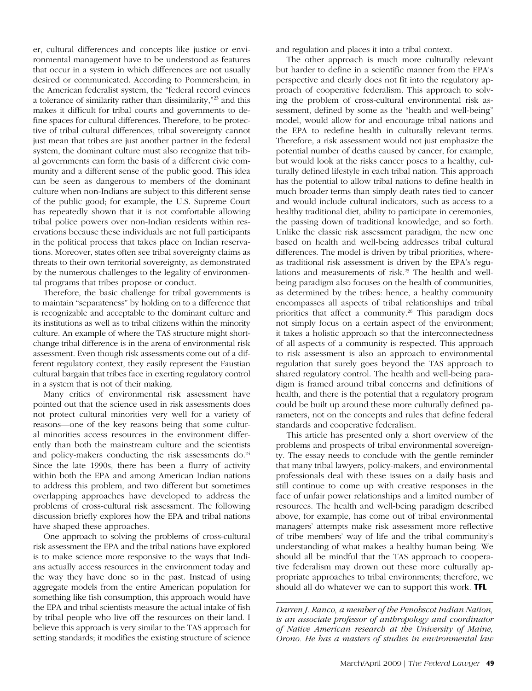er, cultural differences and concepts like justice or environmental management have to be understood as features that occur in a system in which differences are not usually desired or communicated. According to Pommersheim, in the American federalist system, the "federal record evinces a tolerance of similarity rather than dissimilarity,"23 and this makes it difficult for tribal courts and governments to define spaces for cultural differences. Therefore, to be protective of tribal cultural differences, tribal sovereignty cannot just mean that tribes are just another partner in the federal system, the dominant culture must also recognize that tribal governments can form the basis of a different civic community and a different sense of the public good. This idea can be seen as dangerous to members of the dominant culture when non-Indians are subject to this different sense of the public good; for example, the U.S. Supreme Court has repeatedly shown that it is not comfortable allowing tribal police powers over non-Indian residents within reservations because these individuals are not full participants in the political process that takes place on Indian reservations. Moreover, states often see tribal sovereignty claims as threats to their own territorial sovereignty, as demonstrated by the numerous challenges to the legality of environmental programs that tribes propose or conduct.

Therefore, the basic challenge for tribal governments is to maintain "separateness" by holding on to a difference that is recognizable and acceptable to the dominant culture and its institutions as well as to tribal citizens within the minority culture. An example of where the TAS structure might shortchange tribal difference is in the arena of environmental risk assessment. Even though risk assessments come out of a different regulatory context, they easily represent the Faustian cultural bargain that tribes face in exerting regulatory control in a system that is not of their making.

Many critics of environmental risk assessment have pointed out that the science used in risk assessments does not protect cultural minorities very well for a variety of reasons—one of the key reasons being that some cultural minorities access resources in the environment differently than both the mainstream culture and the scientists and policy-makers conducting the risk assessments do.<sup>24</sup> Since the late 1990s, there has been a flurry of activity within both the EPA and among American Indian nations to address this problem, and two different but sometimes overlapping approaches have developed to address the problems of cross-cultural risk assessment. The following discussion briefly explores how the EPA and tribal nations have shaped these approaches.

One approach to solving the problems of cross-cultural risk assessment the EPA and the tribal nations have explored is to make science more responsive to the ways that Indians actually access resources in the environment today and the way they have done so in the past. Instead of using aggregate models from the entire American population for something like fish consumption, this approach would have the EPA and tribal scientists measure the actual intake of fish by tribal people who live off the resources on their land. I believe this approach is very similar to the TAS approach for setting standards; it modifies the existing structure of science and regulation and places it into a tribal context.

The other approach is much more culturally relevant but harder to define in a scientific manner from the EPA's perspective and clearly does not fit into the regulatory approach of cooperative federalism. This approach to solving the problem of cross-cultural environmental risk assessment, defined by some as the "health and well-being" model, would allow for and encourage tribal nations and the EPA to redefine health in culturally relevant terms. Therefore, a risk assessment would not just emphasize the potential number of deaths caused by cancer, for example, but would look at the risks cancer poses to a healthy, culturally defined lifestyle in each tribal nation. This approach has the potential to allow tribal nations to define health in much broader terms than simply death rates tied to cancer and would include cultural indicators, such as access to a healthy traditional diet, ability to participate in ceremonies, the passing down of traditional knowledge, and so forth. Unlike the classic risk assessment paradigm, the new one based on health and well-being addresses tribal cultural differences. The model is driven by tribal priorities, whereas traditional risk assessment is driven by the EPA's regulations and measurements of risk.25 The health and wellbeing paradigm also focuses on the health of communities, as determined by the tribes: hence, a healthy community encompasses all aspects of tribal relationships and tribal priorities that affect a community.<sup>26</sup> This paradigm does not simply focus on a certain aspect of the environment; it takes a holistic approach so that the interconnectedness of all aspects of a community is respected. This approach to risk assessment is also an approach to environmental regulation that surely goes beyond the TAS approach to shared regulatory control. The health and well-being paradigm is framed around tribal concerns and definitions of health, and there is the potential that a regulatory program could be built up around these more culturally defined parameters, not on the concepts and rules that define federal standards and cooperative federalism.

This article has presented only a short overview of the problems and prospects of tribal environmental sovereignty. The essay needs to conclude with the gentle reminder that many tribal lawyers, policy-makers, and environmental professionals deal with these issues on a daily basis and still continue to come up with creative responses in the face of unfair power relationships and a limited number of resources. The health and well-being paradigm described above, for example, has come out of tribal environmental managers' attempts make risk assessment more reflective of tribe members' way of life and the tribal community's understanding of what makes a healthy human being. We should all be mindful that the TAS approach to cooperative federalism may drown out these more culturally appropriate approaches to tribal environments; therefore, we should all do whatever we can to support this work. **TFL**

*Darren J. Ranco, a member of the Penobscot Indian Nation, is an associate professor of anthropology and coordinator of Native American research at the University of Maine, Orono. He has a masters of studies in environmental law*